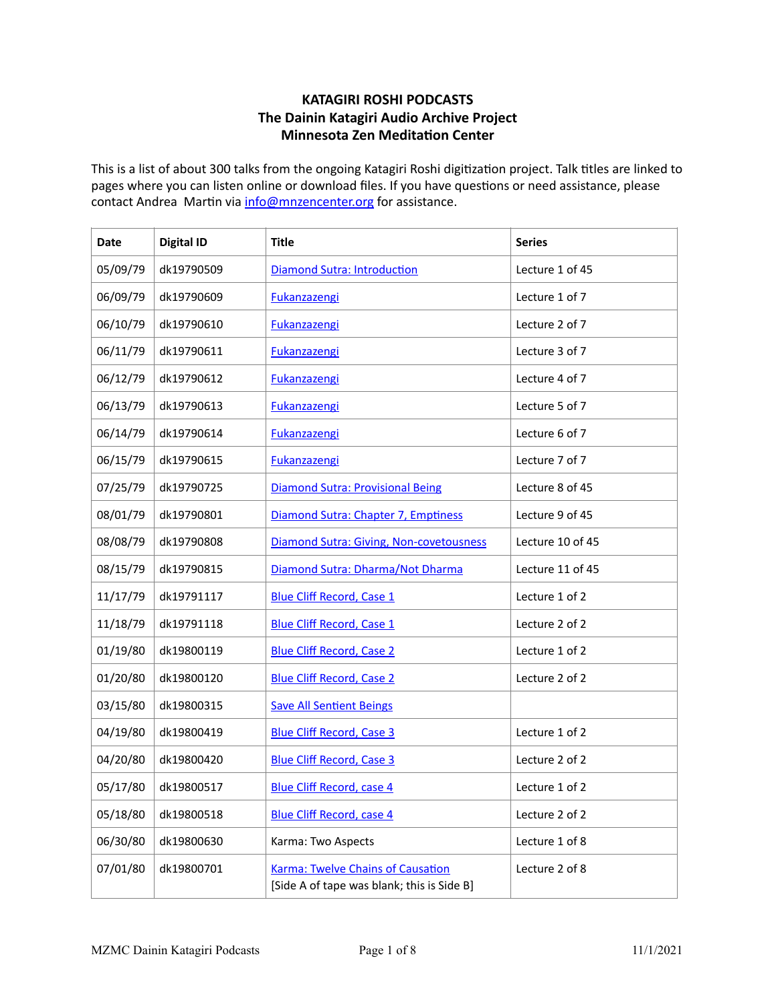## **KATAGIRI ROSHI PODCASTS The Dainin Katagiri Audio Archive Project Minnesota Zen Meditation Center**

This is a list of about 300 talks from the ongoing Katagiri Roshi digitization project. Talk titles are linked to pages where you can listen online or download files. If you have questions or need assistance, please contact Andrea Martin via info@mnzencenter.org for assistance.

| Date     | <b>Digital ID</b> | <b>Title</b>                                                                           | <b>Series</b>    |
|----------|-------------------|----------------------------------------------------------------------------------------|------------------|
| 05/09/79 | dk19790509        | Diamond Sutra: Introduction                                                            | Lecture 1 of 45  |
| 06/09/79 | dk19790609        | <b>Fukanzazengi</b>                                                                    | Lecture 1 of 7   |
| 06/10/79 | dk19790610        | <b>Fukanzazengi</b>                                                                    | Lecture 2 of 7   |
| 06/11/79 | dk19790611        | <b>Fukanzazengi</b>                                                                    | Lecture 3 of 7   |
| 06/12/79 | dk19790612        | <b>Fukanzazengi</b>                                                                    | Lecture 4 of 7   |
| 06/13/79 | dk19790613        | <b>Fukanzazengi</b>                                                                    | Lecture 5 of 7   |
| 06/14/79 | dk19790614        | <b>Fukanzazengi</b>                                                                    | Lecture 6 of 7   |
| 06/15/79 | dk19790615        | <b>Fukanzazengi</b>                                                                    | Lecture 7 of 7   |
| 07/25/79 | dk19790725        | Diamond Sutra: Provisional Being                                                       | Lecture 8 of 45  |
| 08/01/79 | dk19790801        | Diamond Sutra: Chapter 7, Emptiness                                                    | Lecture 9 of 45  |
| 08/08/79 | dk19790808        | Diamond Sutra: Giving, Non-covetousness                                                | Lecture 10 of 45 |
| 08/15/79 | dk19790815        | Diamond Sutra: Dharma/Not Dharma                                                       | Lecture 11 of 45 |
| 11/17/79 | dk19791117        | <b>Blue Cliff Record, Case 1</b>                                                       | Lecture 1 of 2   |
| 11/18/79 | dk19791118        | <b>Blue Cliff Record, Case 1</b>                                                       | Lecture 2 of 2   |
| 01/19/80 | dk19800119        | <b>Blue Cliff Record, Case 2</b>                                                       | Lecture 1 of 2   |
| 01/20/80 | dk19800120        | <b>Blue Cliff Record, Case 2</b>                                                       | Lecture 2 of 2   |
| 03/15/80 | dk19800315        | <b>Save All Sentient Beings</b>                                                        |                  |
| 04/19/80 | dk19800419        | <b>Blue Cliff Record, Case 3</b>                                                       | Lecture 1 of 2   |
| 04/20/80 | dk19800420        | <b>Blue Cliff Record, Case 3</b>                                                       | Lecture 2 of 2   |
| 05/17/80 | dk19800517        | <b>Blue Cliff Record, case 4</b>                                                       | Lecture 1 of 2   |
| 05/18/80 | dk19800518        | <b>Blue Cliff Record, case 4</b>                                                       | Lecture 2 of 2   |
| 06/30/80 | dk19800630        | Karma: Two Aspects                                                                     | Lecture 1 of 8   |
| 07/01/80 | dk19800701        | <b>Karma: Twelve Chains of Causation</b><br>[Side A of tape was blank; this is Side B] | Lecture 2 of 8   |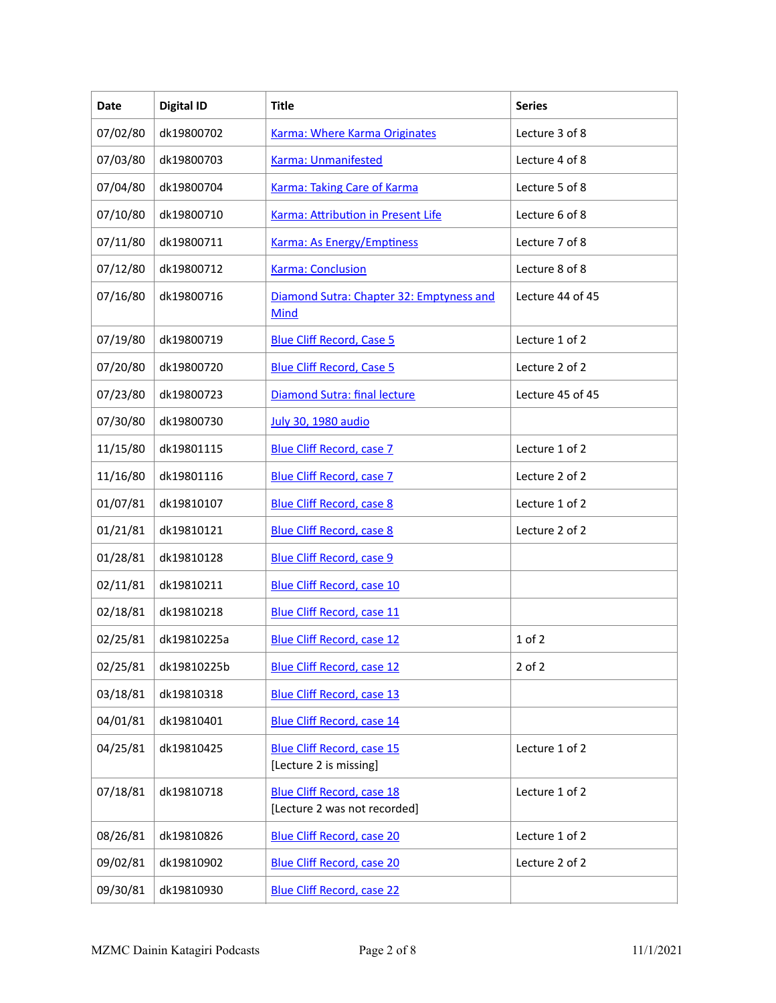| Date     | <b>Digital ID</b> | <b>Title</b>                                                      | <b>Series</b>    |
|----------|-------------------|-------------------------------------------------------------------|------------------|
| 07/02/80 | dk19800702        | Karma: Where Karma Originates                                     | Lecture 3 of 8   |
| 07/03/80 | dk19800703        | <b>Karma: Unmanifested</b>                                        | Lecture 4 of 8   |
| 07/04/80 | dk19800704        | <b>Karma: Taking Care of Karma</b>                                | Lecture 5 of 8   |
| 07/10/80 | dk19800710        | Karma: Attribution in Present Life                                | Lecture 6 of 8   |
| 07/11/80 | dk19800711        | Karma: As Energy/Emptiness                                        | Lecture 7 of 8   |
| 07/12/80 | dk19800712        | <b>Karma: Conclusion</b>                                          | Lecture 8 of 8   |
| 07/16/80 | dk19800716        | Diamond Sutra: Chapter 32: Emptyness and<br><b>Mind</b>           | Lecture 44 of 45 |
| 07/19/80 | dk19800719        | <b>Blue Cliff Record, Case 5</b>                                  | Lecture 1 of 2   |
| 07/20/80 | dk19800720        | <b>Blue Cliff Record, Case 5</b>                                  | Lecture 2 of 2   |
| 07/23/80 | dk19800723        | Diamond Sutra: final lecture                                      | Lecture 45 of 45 |
| 07/30/80 | dk19800730        | <b>July 30, 1980 audio</b>                                        |                  |
| 11/15/80 | dk19801115        | <b>Blue Cliff Record, case 7</b>                                  | Lecture 1 of 2   |
| 11/16/80 | dk19801116        | <b>Blue Cliff Record, case 7</b>                                  | Lecture 2 of 2   |
| 01/07/81 | dk19810107        | <b>Blue Cliff Record, case 8</b>                                  | Lecture 1 of 2   |
| 01/21/81 | dk19810121        | <b>Blue Cliff Record, case 8</b>                                  | Lecture 2 of 2   |
| 01/28/81 | dk19810128        | <b>Blue Cliff Record, case 9</b>                                  |                  |
| 02/11/81 | dk19810211        | <b>Blue Cliff Record, case 10</b>                                 |                  |
| 02/18/81 | dk19810218        | <b>Blue Cliff Record, case 11</b>                                 |                  |
| 02/25/81 | dk19810225a       | <b>Blue Cliff Record, case 12</b>                                 | $1$ of $2$       |
| 02/25/81 | dk19810225b       | <b>Blue Cliff Record, case 12</b>                                 | $2$ of $2$       |
| 03/18/81 | dk19810318        | <b>Blue Cliff Record, case 13</b>                                 |                  |
| 04/01/81 | dk19810401        | <b>Blue Cliff Record, case 14</b>                                 |                  |
| 04/25/81 | dk19810425        | <b>Blue Cliff Record, case 15</b><br>[Lecture 2 is missing]       | Lecture 1 of 2   |
| 07/18/81 | dk19810718        | <b>Blue Cliff Record, case 18</b><br>[Lecture 2 was not recorded] | Lecture 1 of 2   |
| 08/26/81 | dk19810826        | <b>Blue Cliff Record, case 20</b>                                 | Lecture 1 of 2   |
| 09/02/81 | dk19810902        | <b>Blue Cliff Record, case 20</b>                                 | Lecture 2 of 2   |
| 09/30/81 | dk19810930        | <b>Blue Cliff Record, case 22</b>                                 |                  |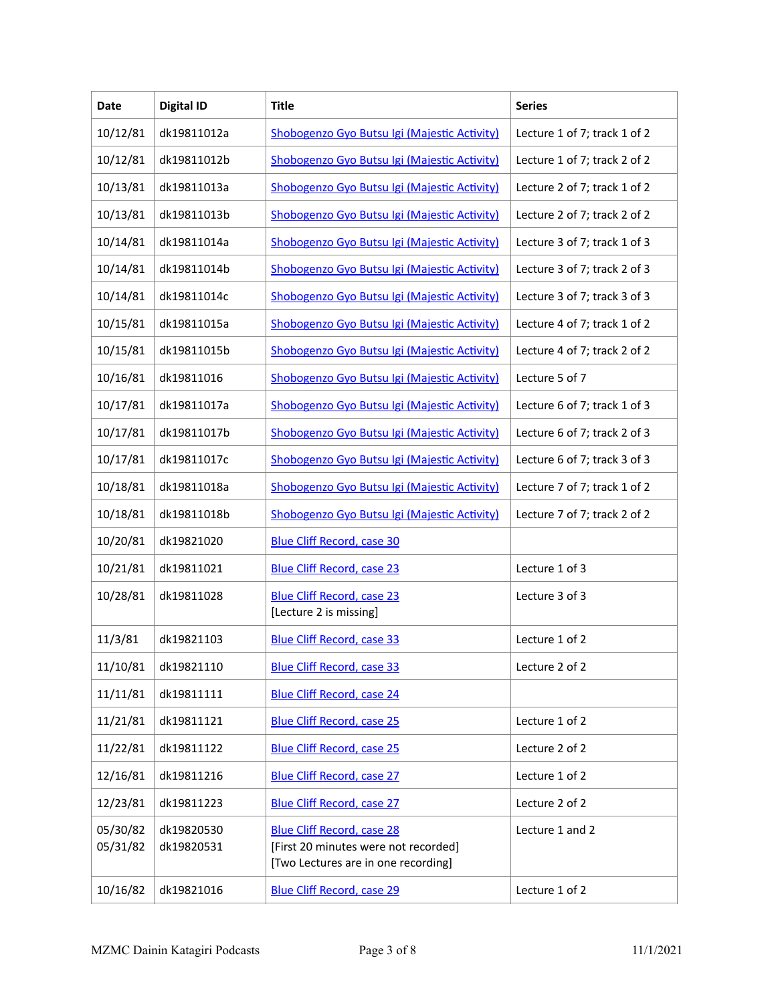| Date                 | <b>Digital ID</b>        | <b>Title</b>                                                                                                     | <b>Series</b>                |
|----------------------|--------------------------|------------------------------------------------------------------------------------------------------------------|------------------------------|
| 10/12/81             | dk19811012a              | Shobogenzo Gyo Butsu Igi (Majestic Activity)                                                                     | Lecture 1 of 7; track 1 of 2 |
| 10/12/81             | dk19811012b              | Shobogenzo Gyo Butsu Igi (Majestic Activity)                                                                     | Lecture 1 of 7; track 2 of 2 |
| 10/13/81             | dk19811013a              | Shobogenzo Gyo Butsu Igi (Majestic Activity)                                                                     | Lecture 2 of 7; track 1 of 2 |
| 10/13/81             | dk19811013b              | Shobogenzo Gyo Butsu Igi (Majestic Activity)                                                                     | Lecture 2 of 7; track 2 of 2 |
| 10/14/81             | dk19811014a              | Shobogenzo Gyo Butsu Igi (Majestic Activity)                                                                     | Lecture 3 of 7; track 1 of 3 |
| 10/14/81             | dk19811014b              | Shobogenzo Gyo Butsu Igi (Majestic Activity)                                                                     | Lecture 3 of 7; track 2 of 3 |
| 10/14/81             | dk19811014c              | Shobogenzo Gyo Butsu Igi (Majestic Activity)                                                                     | Lecture 3 of 7; track 3 of 3 |
| 10/15/81             | dk19811015a              | Shobogenzo Gyo Butsu Igi (Majestic Activity)                                                                     | Lecture 4 of 7; track 1 of 2 |
| 10/15/81             | dk19811015b              | Shobogenzo Gyo Butsu Igi (Majestic Activity)                                                                     | Lecture 4 of 7; track 2 of 2 |
| 10/16/81             | dk19811016               | Shobogenzo Gyo Butsu Igi (Majestic Activity)                                                                     | Lecture 5 of 7               |
| 10/17/81             | dk19811017a              | Shobogenzo Gyo Butsu Igi (Majestic Activity)                                                                     | Lecture 6 of 7; track 1 of 3 |
| 10/17/81             | dk19811017b              | Shobogenzo Gyo Butsu Igi (Majestic Activity)                                                                     | Lecture 6 of 7; track 2 of 3 |
| 10/17/81             | dk19811017c              | Shobogenzo Gyo Butsu Igi (Majestic Activity)                                                                     | Lecture 6 of 7; track 3 of 3 |
| 10/18/81             | dk19811018a              | Shobogenzo Gyo Butsu Igi (Majestic Activity)                                                                     | Lecture 7 of 7; track 1 of 2 |
| 10/18/81             | dk19811018b              | Shobogenzo Gyo Butsu Igi (Majestic Activity)                                                                     | Lecture 7 of 7; track 2 of 2 |
| 10/20/81             | dk19821020               | <b>Blue Cliff Record, case 30</b>                                                                                |                              |
| 10/21/81             | dk19811021               | <b>Blue Cliff Record, case 23</b>                                                                                | Lecture 1 of 3               |
| 10/28/81             | dk19811028               | <b>Blue Cliff Record, case 23</b><br>[Lecture 2 is missing]                                                      | Lecture 3 of 3               |
| 11/3/81              | dk19821103               | <b>Blue Cliff Record, case 33</b>                                                                                | Lecture 1 of 2               |
| 11/10/81             | dk19821110               | <b>Blue Cliff Record, case 33</b>                                                                                | Lecture 2 of 2               |
| 11/11/81             | dk19811111               | <b>Blue Cliff Record, case 24</b>                                                                                |                              |
| 11/21/81             | dk19811121               | <b>Blue Cliff Record, case 25</b>                                                                                | Lecture 1 of 2               |
| 11/22/81             | dk19811122               | <b>Blue Cliff Record, case 25</b>                                                                                | Lecture 2 of 2               |
| 12/16/81             | dk19811216               | <b>Blue Cliff Record, case 27</b>                                                                                | Lecture 1 of 2               |
| 12/23/81             | dk19811223               | <b>Blue Cliff Record, case 27</b>                                                                                | Lecture 2 of 2               |
| 05/30/82<br>05/31/82 | dk19820530<br>dk19820531 | <b>Blue Cliff Record, case 28</b><br>[First 20 minutes were not recorded]<br>[Two Lectures are in one recording] | Lecture 1 and 2              |
| 10/16/82             | dk19821016               | <b>Blue Cliff Record, case 29</b>                                                                                | Lecture 1 of 2               |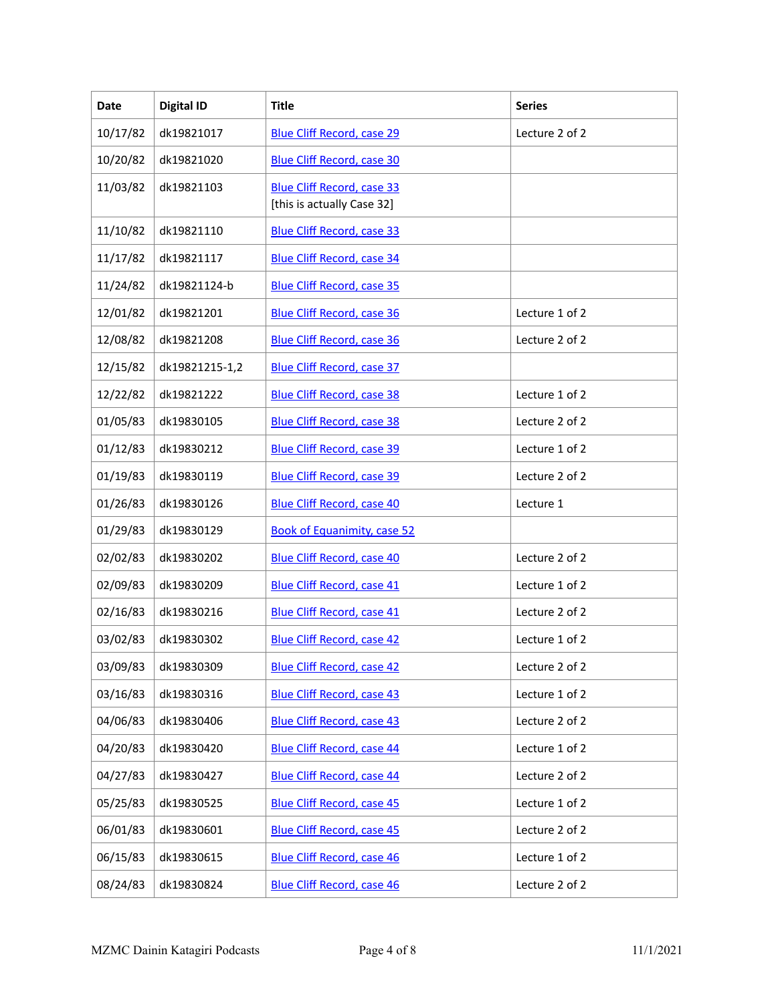| Date     | <b>Digital ID</b> | <b>Title</b>                                                    | <b>Series</b>  |
|----------|-------------------|-----------------------------------------------------------------|----------------|
| 10/17/82 | dk19821017        | <b>Blue Cliff Record, case 29</b>                               | Lecture 2 of 2 |
| 10/20/82 | dk19821020        | <b>Blue Cliff Record, case 30</b>                               |                |
| 11/03/82 | dk19821103        | <b>Blue Cliff Record, case 33</b><br>[this is actually Case 32] |                |
| 11/10/82 | dk19821110        | <b>Blue Cliff Record, case 33</b>                               |                |
| 11/17/82 | dk19821117        | <b>Blue Cliff Record, case 34</b>                               |                |
| 11/24/82 | dk19821124-b      | <b>Blue Cliff Record, case 35</b>                               |                |
| 12/01/82 | dk19821201        | <b>Blue Cliff Record, case 36</b>                               | Lecture 1 of 2 |
| 12/08/82 | dk19821208        | <b>Blue Cliff Record, case 36</b>                               | Lecture 2 of 2 |
| 12/15/82 | dk19821215-1,2    | <b>Blue Cliff Record, case 37</b>                               |                |
| 12/22/82 | dk19821222        | <b>Blue Cliff Record, case 38</b>                               | Lecture 1 of 2 |
| 01/05/83 | dk19830105        | <b>Blue Cliff Record, case 38</b>                               | Lecture 2 of 2 |
| 01/12/83 | dk19830212        | <b>Blue Cliff Record, case 39</b>                               | Lecture 1 of 2 |
| 01/19/83 | dk19830119        | <b>Blue Cliff Record, case 39</b>                               | Lecture 2 of 2 |
| 01/26/83 | dk19830126        | <b>Blue Cliff Record, case 40</b>                               | Lecture 1      |
| 01/29/83 | dk19830129        | <b>Book of Equanimity, case 52</b>                              |                |
| 02/02/83 | dk19830202        | <b>Blue Cliff Record, case 40</b>                               | Lecture 2 of 2 |
| 02/09/83 | dk19830209        | <b>Blue Cliff Record, case 41</b>                               | Lecture 1 of 2 |
| 02/16/83 | dk19830216        | <b>Blue Cliff Record, case 41</b>                               | Lecture 2 of 2 |
| 03/02/83 | dk19830302        | <b>Blue Cliff Record, case 42</b>                               | Lecture 1 of 2 |
| 03/09/83 | dk19830309        | <b>Blue Cliff Record, case 42</b>                               | Lecture 2 of 2 |
| 03/16/83 | dk19830316        | <b>Blue Cliff Record, case 43</b>                               | Lecture 1 of 2 |
| 04/06/83 | dk19830406        | <b>Blue Cliff Record, case 43</b>                               | Lecture 2 of 2 |
| 04/20/83 | dk19830420        | <b>Blue Cliff Record, case 44</b>                               | Lecture 1 of 2 |
| 04/27/83 | dk19830427        | <b>Blue Cliff Record, case 44</b>                               | Lecture 2 of 2 |
| 05/25/83 | dk19830525        | <b>Blue Cliff Record, case 45</b>                               | Lecture 1 of 2 |
| 06/01/83 | dk19830601        | <b>Blue Cliff Record, case 45</b>                               | Lecture 2 of 2 |
| 06/15/83 | dk19830615        | <b>Blue Cliff Record, case 46</b>                               | Lecture 1 of 2 |
| 08/24/83 | dk19830824        | <b>Blue Cliff Record, case 46</b>                               | Lecture 2 of 2 |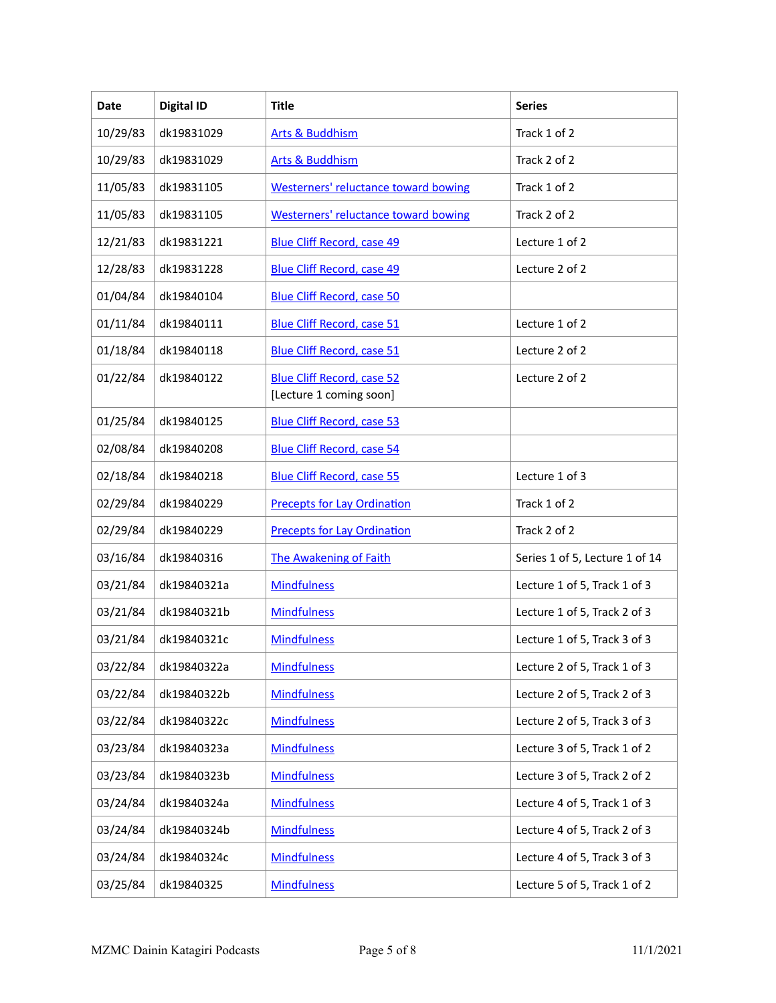| Date     | <b>Digital ID</b> | <b>Title</b>                                                 | <b>Series</b>                  |
|----------|-------------------|--------------------------------------------------------------|--------------------------------|
| 10/29/83 | dk19831029        | <b>Arts &amp; Buddhism</b>                                   | Track 1 of 2                   |
| 10/29/83 | dk19831029        | <b>Arts &amp; Buddhism</b>                                   | Track 2 of 2                   |
| 11/05/83 | dk19831105        | <b>Westerners' reluctance toward bowing</b>                  | Track 1 of 2                   |
| 11/05/83 | dk19831105        | <b>Westerners' reluctance toward bowing</b>                  | Track 2 of 2                   |
| 12/21/83 | dk19831221        | <b>Blue Cliff Record, case 49</b>                            | Lecture 1 of 2                 |
| 12/28/83 | dk19831228        | <b>Blue Cliff Record, case 49</b>                            | Lecture 2 of 2                 |
| 01/04/84 | dk19840104        | <b>Blue Cliff Record, case 50</b>                            |                                |
| 01/11/84 | dk19840111        | <b>Blue Cliff Record, case 51</b>                            | Lecture 1 of 2                 |
| 01/18/84 | dk19840118        | <b>Blue Cliff Record, case 51</b>                            | Lecture 2 of 2                 |
| 01/22/84 | dk19840122        | <b>Blue Cliff Record, case 52</b><br>[Lecture 1 coming soon] | Lecture 2 of 2                 |
| 01/25/84 | dk19840125        | <b>Blue Cliff Record, case 53</b>                            |                                |
| 02/08/84 | dk19840208        | <b>Blue Cliff Record, case 54</b>                            |                                |
| 02/18/84 | dk19840218        | <b>Blue Cliff Record, case 55</b>                            | Lecture 1 of 3                 |
| 02/29/84 | dk19840229        | <b>Precepts for Lay Ordination</b>                           | Track 1 of 2                   |
| 02/29/84 | dk19840229        | <b>Precepts for Lay Ordination</b>                           | Track 2 of 2                   |
| 03/16/84 | dk19840316        | The Awakening of Faith                                       | Series 1 of 5, Lecture 1 of 14 |
| 03/21/84 | dk19840321a       | <b>Mindfulness</b>                                           | Lecture 1 of 5, Track 1 of 3   |
| 03/21/84 | dk19840321b       | <b>Mindfulness</b>                                           | Lecture 1 of 5, Track 2 of 3   |
| 03/21/84 | dk19840321c       | <b>Mindfulness</b>                                           | Lecture 1 of 5, Track 3 of 3   |
| 03/22/84 | dk19840322a       | <b>Mindfulness</b>                                           | Lecture 2 of 5, Track 1 of 3   |
| 03/22/84 | dk19840322b       | <b>Mindfulness</b>                                           | Lecture 2 of 5, Track 2 of 3   |
| 03/22/84 | dk19840322c       | <b>Mindfulness</b>                                           | Lecture 2 of 5, Track 3 of 3   |
| 03/23/84 | dk19840323a       | <b>Mindfulness</b>                                           | Lecture 3 of 5, Track 1 of 2   |
| 03/23/84 | dk19840323b       | <b>Mindfulness</b>                                           | Lecture 3 of 5, Track 2 of 2   |
| 03/24/84 | dk19840324a       | <b>Mindfulness</b>                                           | Lecture 4 of 5, Track 1 of 3   |
| 03/24/84 | dk19840324b       | <b>Mindfulness</b>                                           | Lecture 4 of 5, Track 2 of 3   |
| 03/24/84 | dk19840324c       | <b>Mindfulness</b>                                           | Lecture 4 of 5, Track 3 of 3   |
| 03/25/84 | dk19840325        | <b>Mindfulness</b>                                           | Lecture 5 of 5, Track 1 of 2   |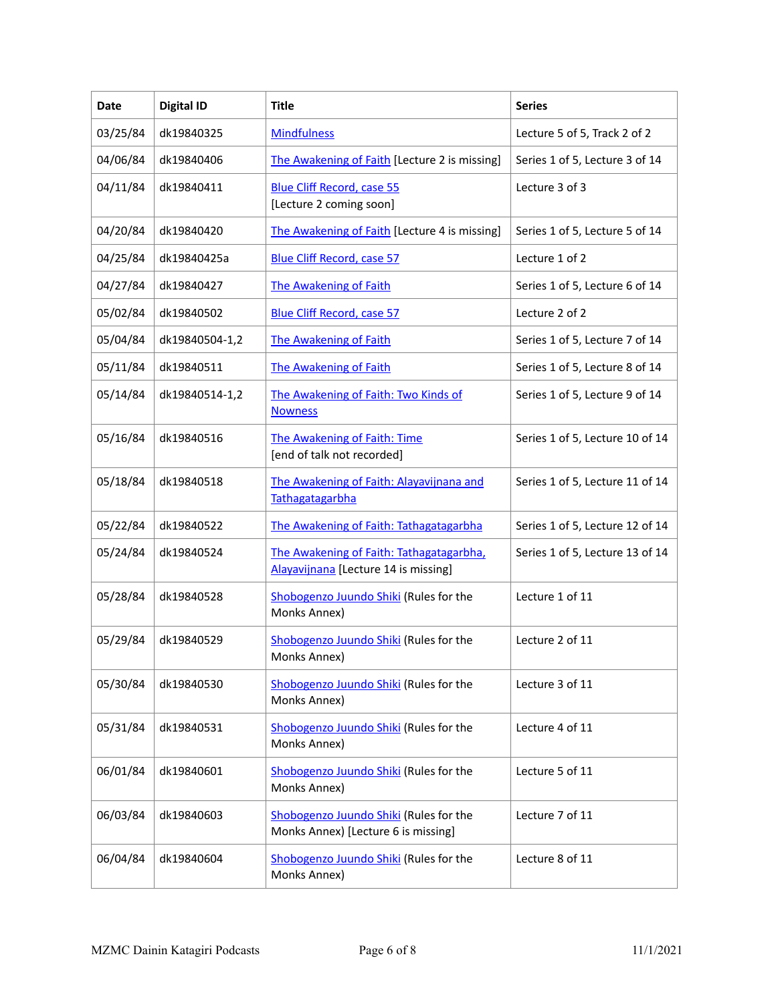| Date     | <b>Digital ID</b> | Title                                                                            | <b>Series</b>                   |
|----------|-------------------|----------------------------------------------------------------------------------|---------------------------------|
| 03/25/84 | dk19840325        | <b>Mindfulness</b>                                                               | Lecture 5 of 5, Track 2 of 2    |
| 04/06/84 | dk19840406        | The Awakening of Faith [Lecture 2 is missing]                                    | Series 1 of 5, Lecture 3 of 14  |
| 04/11/84 | dk19840411        | <b>Blue Cliff Record, case 55</b><br>[Lecture 2 coming soon]                     | Lecture 3 of 3                  |
| 04/20/84 | dk19840420        | The Awakening of Faith [Lecture 4 is missing]                                    | Series 1 of 5, Lecture 5 of 14  |
| 04/25/84 | dk19840425a       | <b>Blue Cliff Record, case 57</b>                                                | Lecture 1 of 2                  |
| 04/27/84 | dk19840427        | The Awakening of Faith                                                           | Series 1 of 5, Lecture 6 of 14  |
| 05/02/84 | dk19840502        | <b>Blue Cliff Record, case 57</b>                                                | Lecture 2 of 2                  |
| 05/04/84 | dk19840504-1,2    | The Awakening of Faith                                                           | Series 1 of 5, Lecture 7 of 14  |
| 05/11/84 | dk19840511        | The Awakening of Faith                                                           | Series 1 of 5, Lecture 8 of 14  |
| 05/14/84 | dk19840514-1,2    | The Awakening of Faith: Two Kinds of<br><b>Nowness</b>                           | Series 1 of 5, Lecture 9 of 14  |
| 05/16/84 | dk19840516        | The Awakening of Faith: Time<br>[end of talk not recorded]                       | Series 1 of 5, Lecture 10 of 14 |
| 05/18/84 | dk19840518        | The Awakening of Faith: Alayavijnana and<br>Tathagatagarbha                      | Series 1 of 5, Lecture 11 of 14 |
| 05/22/84 | dk19840522        | The Awakening of Faith: Tathagatagarbha                                          | Series 1 of 5, Lecture 12 of 14 |
| 05/24/84 | dk19840524        | The Awakening of Faith: Tathagatagarbha,<br>Alayavijnana [Lecture 14 is missing] | Series 1 of 5, Lecture 13 of 14 |
| 05/28/84 | dk19840528        | Shobogenzo Juundo Shiki (Rules for the<br>Monks Annex)                           | Lecture 1 of 11                 |
| 05/29/84 | dk19840529        | Shobogenzo Juundo Shiki (Rules for the<br>Monks Annex)                           | Lecture 2 of 11                 |
| 05/30/84 | dk19840530        | Shobogenzo Juundo Shiki (Rules for the<br>Monks Annex)                           | Lecture 3 of 11                 |
| 05/31/84 | dk19840531        | Shobogenzo Juundo Shiki (Rules for the<br>Monks Annex)                           | Lecture 4 of 11                 |
| 06/01/84 | dk19840601        | Shobogenzo Juundo Shiki (Rules for the<br>Monks Annex)                           | Lecture 5 of 11                 |
| 06/03/84 | dk19840603        | Shobogenzo Juundo Shiki (Rules for the<br>Monks Annex) [Lecture 6 is missing]    | Lecture 7 of 11                 |
| 06/04/84 | dk19840604        | Shobogenzo Juundo Shiki (Rules for the<br>Monks Annex)                           | Lecture 8 of 11                 |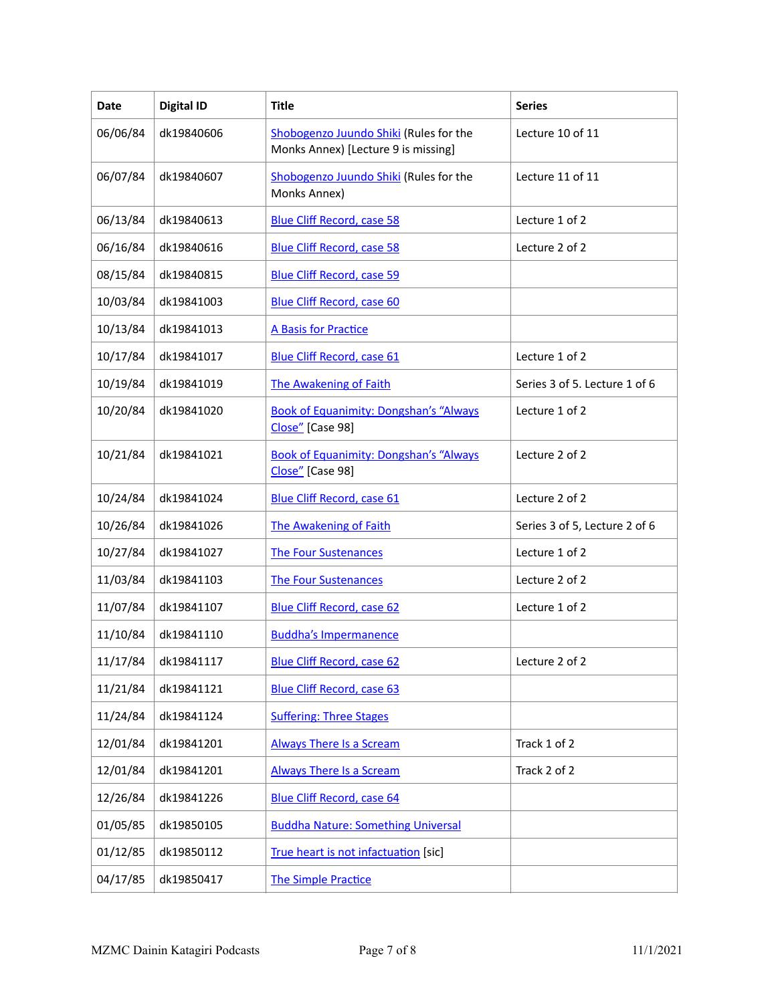| <b>Date</b> | <b>Digital ID</b> | <b>Title</b>                                                                  | <b>Series</b>                 |
|-------------|-------------------|-------------------------------------------------------------------------------|-------------------------------|
| 06/06/84    | dk19840606        | Shobogenzo Juundo Shiki (Rules for the<br>Monks Annex) [Lecture 9 is missing] | Lecture 10 of 11              |
| 06/07/84    | dk19840607        | Shobogenzo Juundo Shiki (Rules for the<br>Monks Annex)                        | Lecture 11 of 11              |
| 06/13/84    | dk19840613        | <b>Blue Cliff Record, case 58</b>                                             | Lecture 1 of 2                |
| 06/16/84    | dk19840616        | <b>Blue Cliff Record, case 58</b>                                             | Lecture 2 of 2                |
| 08/15/84    | dk19840815        | <b>Blue Cliff Record, case 59</b>                                             |                               |
| 10/03/84    | dk19841003        | <b>Blue Cliff Record, case 60</b>                                             |                               |
| 10/13/84    | dk19841013        | <b>A Basis for Practice</b>                                                   |                               |
| 10/17/84    | dk19841017        | <b>Blue Cliff Record, case 61</b>                                             | Lecture 1 of 2                |
| 10/19/84    | dk19841019        | <b>The Awakening of Faith</b>                                                 | Series 3 of 5. Lecture 1 of 6 |
| 10/20/84    | dk19841020        | <b>Book of Equanimity: Dongshan's "Always</b><br>Close" [Case 98]             | Lecture 1 of 2                |
| 10/21/84    | dk19841021        | <b>Book of Equanimity: Dongshan's "Always</b><br>Close" [Case 98]             | Lecture 2 of 2                |
| 10/24/84    | dk19841024        | <b>Blue Cliff Record, case 61</b>                                             | Lecture 2 of 2                |
| 10/26/84    | dk19841026        | The Awakening of Faith                                                        | Series 3 of 5, Lecture 2 of 6 |
| 10/27/84    | dk19841027        | <b>The Four Sustenances</b>                                                   | Lecture 1 of 2                |
| 11/03/84    | dk19841103        | <b>The Four Sustenances</b>                                                   | Lecture 2 of 2                |
| 11/07/84    | dk19841107        | <b>Blue Cliff Record, case 62</b>                                             | Lecture 1 of 2                |
| 11/10/84    | dk19841110        | <b>Buddha's Impermanence</b>                                                  |                               |
| 11/17/84    | dk19841117        | <b>Blue Cliff Record, case 62</b>                                             | Lecture 2 of 2                |
| 11/21/84    | dk19841121        | <b>Blue Cliff Record, case 63</b>                                             |                               |
| 11/24/84    | dk19841124        | <b>Suffering: Three Stages</b>                                                |                               |
| 12/01/84    | dk19841201        | <b>Always There Is a Scream</b>                                               | Track 1 of 2                  |
| 12/01/84    | dk19841201        | <b>Always There Is a Scream</b>                                               | Track 2 of 2                  |
| 12/26/84    | dk19841226        | <b>Blue Cliff Record, case 64</b>                                             |                               |
| 01/05/85    | dk19850105        | <b>Buddha Nature: Something Universal</b>                                     |                               |
| 01/12/85    | dk19850112        | True heart is not infactuation [sic]                                          |                               |
| 04/17/85    | dk19850417        | <b>The Simple Practice</b>                                                    |                               |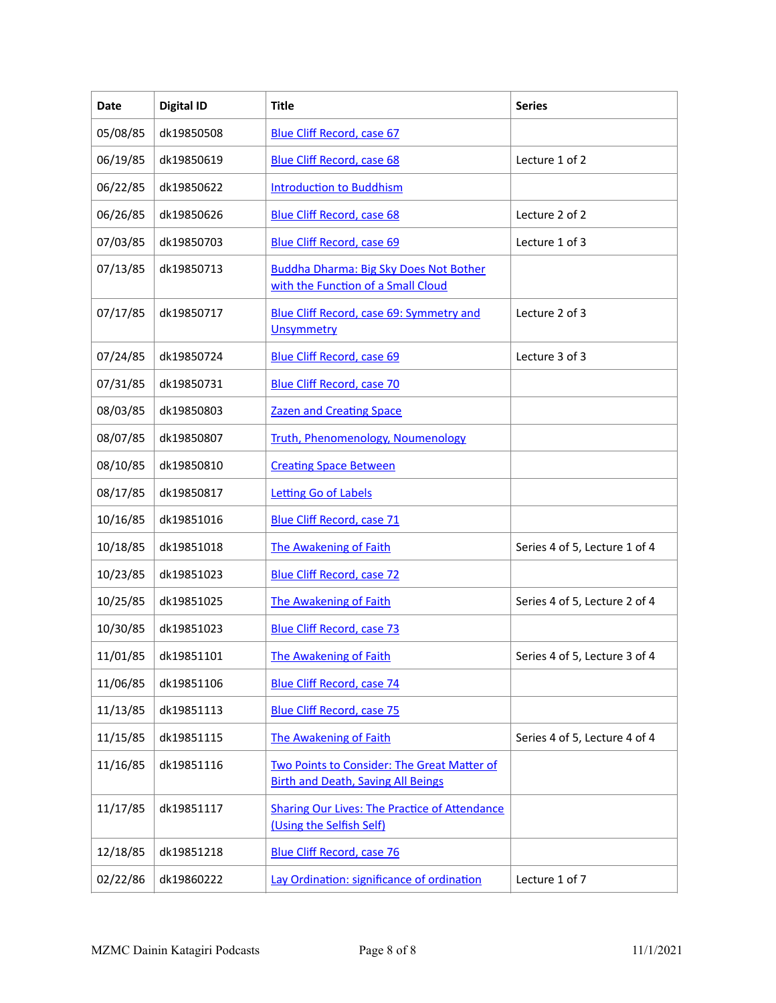| Date     | <b>Digital ID</b> | <b>Title</b>                                                                             | <b>Series</b>                 |
|----------|-------------------|------------------------------------------------------------------------------------------|-------------------------------|
| 05/08/85 | dk19850508        | <b>Blue Cliff Record, case 67</b>                                                        |                               |
| 06/19/85 | dk19850619        | <b>Blue Cliff Record, case 68</b>                                                        | Lecture 1 of 2                |
| 06/22/85 | dk19850622        | <b>Introduction to Buddhism</b>                                                          |                               |
| 06/26/85 | dk19850626        | <b>Blue Cliff Record, case 68</b>                                                        | Lecture 2 of 2                |
| 07/03/85 | dk19850703        | <b>Blue Cliff Record, case 69</b>                                                        | Lecture 1 of 3                |
| 07/13/85 | dk19850713        | <b>Buddha Dharma: Big Sky Does Not Bother</b><br>with the Function of a Small Cloud      |                               |
| 07/17/85 | dk19850717        | Blue Cliff Record, case 69: Symmetry and<br><b>Unsymmetry</b>                            | Lecture 2 of 3                |
| 07/24/85 | dk19850724        | <b>Blue Cliff Record, case 69</b>                                                        | Lecture 3 of 3                |
| 07/31/85 | dk19850731        | <b>Blue Cliff Record, case 70</b>                                                        |                               |
| 08/03/85 | dk19850803        | <b>Zazen and Creating Space</b>                                                          |                               |
| 08/07/85 | dk19850807        | <b>Truth, Phenomenology, Noumenology</b>                                                 |                               |
| 08/10/85 | dk19850810        | <b>Creating Space Between</b>                                                            |                               |
| 08/17/85 | dk19850817        | <b>Letting Go of Labels</b>                                                              |                               |
| 10/16/85 | dk19851016        | <b>Blue Cliff Record, case 71</b>                                                        |                               |
| 10/18/85 | dk19851018        | The Awakening of Faith                                                                   | Series 4 of 5, Lecture 1 of 4 |
| 10/23/85 | dk19851023        | <b>Blue Cliff Record, case 72</b>                                                        |                               |
| 10/25/85 | dk19851025        | The Awakening of Faith                                                                   | Series 4 of 5, Lecture 2 of 4 |
| 10/30/85 | dk19851023        | <b>Blue Cliff Record, case 73</b>                                                        |                               |
| 11/01/85 | dk19851101        | <b>The Awakening of Faith</b>                                                            | Series 4 of 5, Lecture 3 of 4 |
| 11/06/85 | dk19851106        | <b>Blue Cliff Record, case 74</b>                                                        |                               |
| 11/13/85 | dk19851113        | <b>Blue Cliff Record, case 75</b>                                                        |                               |
| 11/15/85 | dk19851115        | The Awakening of Faith                                                                   | Series 4 of 5, Lecture 4 of 4 |
| 11/16/85 | dk19851116        | Two Points to Consider: The Great Matter of<br><b>Birth and Death, Saving All Beings</b> |                               |
| 11/17/85 | dk19851117        | <b>Sharing Our Lives: The Practice of Attendance</b><br>(Using the Selfish Self)         |                               |
| 12/18/85 | dk19851218        | <b>Blue Cliff Record, case 76</b>                                                        |                               |
| 02/22/86 | dk19860222        | Lay Ordination: significance of ordination                                               | Lecture 1 of 7                |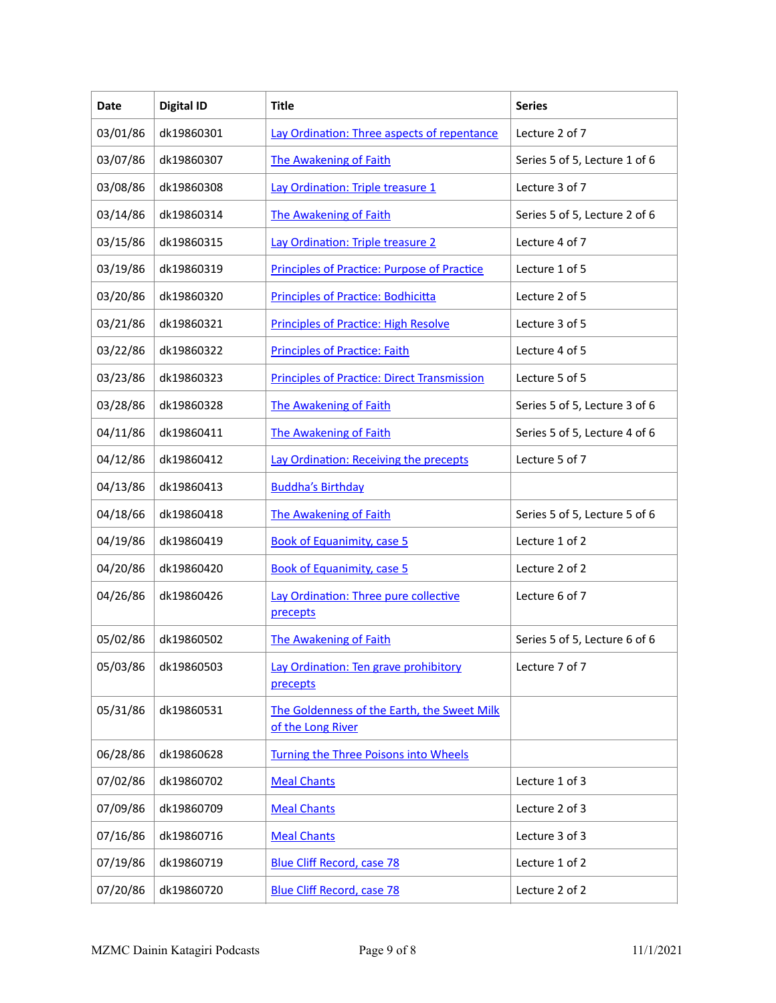| Date     | <b>Digital ID</b> | <b>Title</b>                                                     | <b>Series</b>                 |
|----------|-------------------|------------------------------------------------------------------|-------------------------------|
| 03/01/86 | dk19860301        | Lay Ordination: Three aspects of repentance                      | Lecture 2 of 7                |
| 03/07/86 | dk19860307        | <b>The Awakening of Faith</b>                                    | Series 5 of 5, Lecture 1 of 6 |
| 03/08/86 | dk19860308        | Lay Ordination: Triple treasure 1                                | Lecture 3 of 7                |
| 03/14/86 | dk19860314        | <b>The Awakening of Faith</b>                                    | Series 5 of 5, Lecture 2 of 6 |
| 03/15/86 | dk19860315        | Lay Ordination: Triple treasure 2                                | Lecture 4 of 7                |
| 03/19/86 | dk19860319        | <b>Principles of Practice: Purpose of Practice</b>               | Lecture 1 of 5                |
| 03/20/86 | dk19860320        | <b>Principles of Practice: Bodhicitta</b>                        | Lecture 2 of 5                |
| 03/21/86 | dk19860321        | <b>Principles of Practice: High Resolve</b>                      | Lecture 3 of 5                |
| 03/22/86 | dk19860322        | <b>Principles of Practice: Faith</b>                             | Lecture 4 of 5                |
| 03/23/86 | dk19860323        | <b>Principles of Practice: Direct Transmission</b>               | Lecture 5 of 5                |
| 03/28/86 | dk19860328        | <b>The Awakening of Faith</b>                                    | Series 5 of 5, Lecture 3 of 6 |
| 04/11/86 | dk19860411        | <b>The Awakening of Faith</b>                                    | Series 5 of 5, Lecture 4 of 6 |
| 04/12/86 | dk19860412        | Lay Ordination: Receiving the precepts                           | Lecture 5 of 7                |
| 04/13/86 | dk19860413        | <b>Buddha's Birthday</b>                                         |                               |
| 04/18/66 | dk19860418        | The Awakening of Faith                                           | Series 5 of 5, Lecture 5 of 6 |
| 04/19/86 | dk19860419        | <b>Book of Equanimity, case 5</b>                                | Lecture 1 of 2                |
| 04/20/86 | dk19860420        | <b>Book of Equanimity, case 5</b>                                | Lecture 2 of 2                |
| 04/26/86 | dk19860426        | Lay Ordination: Three pure collective<br>precepts                | Lecture 6 of 7                |
| 05/02/86 | dk19860502        | The Awakening of Faith                                           | Series 5 of 5, Lecture 6 of 6 |
| 05/03/86 | dk19860503        | Lay Ordination: Ten grave prohibitory<br>precepts                | Lecture 7 of 7                |
| 05/31/86 | dk19860531        | The Goldenness of the Earth, the Sweet Milk<br>of the Long River |                               |
| 06/28/86 | dk19860628        | Turning the Three Poisons into Wheels                            |                               |
| 07/02/86 | dk19860702        | <b>Meal Chants</b>                                               | Lecture 1 of 3                |
| 07/09/86 | dk19860709        | <b>Meal Chants</b>                                               | Lecture 2 of 3                |
| 07/16/86 | dk19860716        | <b>Meal Chants</b>                                               | Lecture 3 of 3                |
| 07/19/86 | dk19860719        | <b>Blue Cliff Record, case 78</b>                                | Lecture 1 of 2                |
| 07/20/86 | dk19860720        | <b>Blue Cliff Record, case 78</b>                                | Lecture 2 of 2                |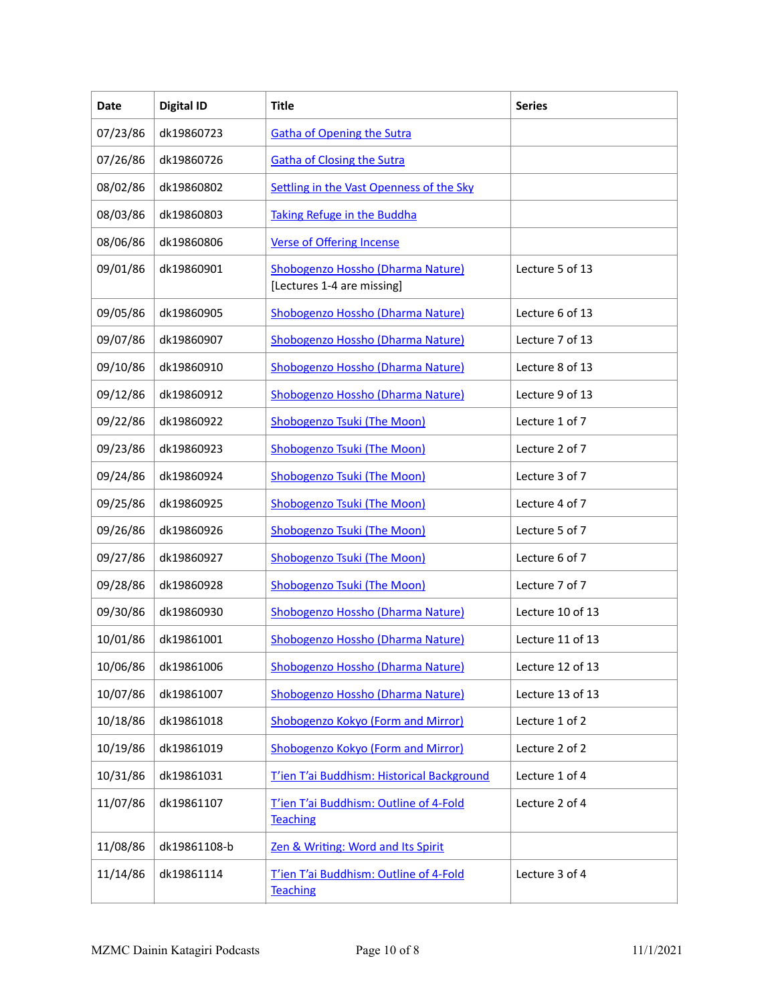| Date     | <b>Digital ID</b> | <b>Title</b>                                                    | <b>Series</b>    |
|----------|-------------------|-----------------------------------------------------------------|------------------|
| 07/23/86 | dk19860723        | <b>Gatha of Opening the Sutra</b>                               |                  |
| 07/26/86 | dk19860726        | <b>Gatha of Closing the Sutra</b>                               |                  |
| 08/02/86 | dk19860802        | Settling in the Vast Openness of the Sky                        |                  |
| 08/03/86 | dk19860803        | <b>Taking Refuge in the Buddha</b>                              |                  |
| 08/06/86 | dk19860806        | <b>Verse of Offering Incense</b>                                |                  |
| 09/01/86 | dk19860901        | Shobogenzo Hossho (Dharma Nature)<br>[Lectures 1-4 are missing] | Lecture 5 of 13  |
| 09/05/86 | dk19860905        | Shobogenzo Hossho (Dharma Nature)                               | Lecture 6 of 13  |
| 09/07/86 | dk19860907        | Shobogenzo Hossho (Dharma Nature)                               | Lecture 7 of 13  |
| 09/10/86 | dk19860910        | Shobogenzo Hossho (Dharma Nature)                               | Lecture 8 of 13  |
| 09/12/86 | dk19860912        | Shobogenzo Hossho (Dharma Nature)                               | Lecture 9 of 13  |
| 09/22/86 | dk19860922        | <b>Shobogenzo Tsuki (The Moon)</b>                              | Lecture 1 of 7   |
| 09/23/86 | dk19860923        | <b>Shobogenzo Tsuki (The Moon)</b>                              | Lecture 2 of 7   |
| 09/24/86 | dk19860924        | Shobogenzo Tsuki (The Moon)                                     | Lecture 3 of 7   |
| 09/25/86 | dk19860925        | <b>Shobogenzo Tsuki (The Moon)</b>                              | Lecture 4 of 7   |
| 09/26/86 | dk19860926        | Shobogenzo Tsuki (The Moon)                                     | Lecture 5 of 7   |
| 09/27/86 | dk19860927        | Shobogenzo Tsuki (The Moon)                                     | Lecture 6 of 7   |
| 09/28/86 | dk19860928        | <b>Shobogenzo Tsuki (The Moon)</b>                              | Lecture 7 of 7   |
| 09/30/86 | dk19860930        | Shobogenzo Hossho (Dharma Nature)                               | Lecture 10 of 13 |
| 10/01/86 | dk19861001        | Shobogenzo Hossho (Dharma Nature)                               | Lecture 11 of 13 |
| 10/06/86 | dk19861006        | Shobogenzo Hossho (Dharma Nature)                               | Lecture 12 of 13 |
| 10/07/86 | dk19861007        | Shobogenzo Hossho (Dharma Nature)                               | Lecture 13 of 13 |
| 10/18/86 | dk19861018        | Shobogenzo Kokyo (Form and Mirror)                              | Lecture 1 of 2   |
| 10/19/86 | dk19861019        | Shobogenzo Kokyo (Form and Mirror)                              | Lecture 2 of 2   |
| 10/31/86 | dk19861031        | T'ien T'ai Buddhism: Historical Background                      | Lecture 1 of 4   |
| 11/07/86 | dk19861107        | T'ien T'ai Buddhism: Outline of 4-Fold<br><b>Teaching</b>       | Lecture 2 of 4   |
| 11/08/86 | dk19861108-b      | Zen & Writing: Word and Its Spirit                              |                  |
| 11/14/86 | dk19861114        | T'ien T'ai Buddhism: Outline of 4-Fold<br><b>Teaching</b>       | Lecture 3 of 4   |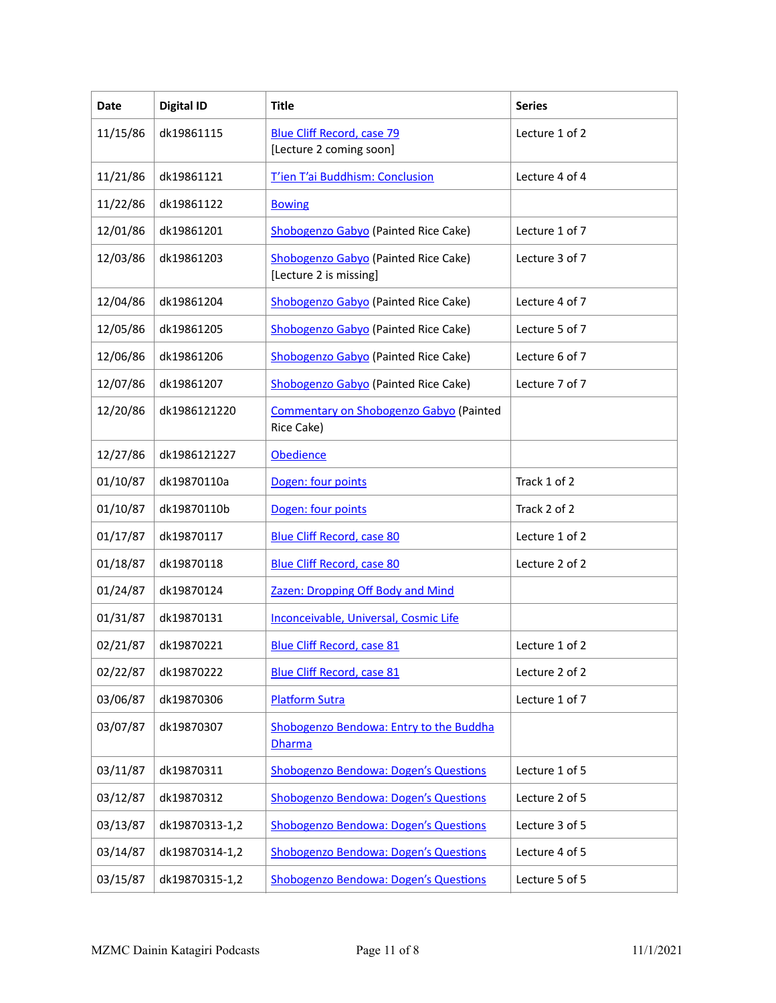| Date     | <b>Digital ID</b> | <b>Title</b>                                                   | <b>Series</b>  |
|----------|-------------------|----------------------------------------------------------------|----------------|
| 11/15/86 | dk19861115        | <b>Blue Cliff Record, case 79</b><br>[Lecture 2 coming soon]   | Lecture 1 of 2 |
| 11/21/86 | dk19861121        | T'ien T'ai Buddhism: Conclusion                                | Lecture 4 of 4 |
| 11/22/86 | dk19861122        | <b>Bowing</b>                                                  |                |
| 12/01/86 | dk19861201        | Shobogenzo Gabyo (Painted Rice Cake)                           | Lecture 1 of 7 |
| 12/03/86 | dk19861203        | Shobogenzo Gabyo (Painted Rice Cake)<br>[Lecture 2 is missing] | Lecture 3 of 7 |
| 12/04/86 | dk19861204        | Shobogenzo Gabyo (Painted Rice Cake)                           | Lecture 4 of 7 |
| 12/05/86 | dk19861205        | <b>Shobogenzo Gabyo</b> (Painted Rice Cake)                    | Lecture 5 of 7 |
| 12/06/86 | dk19861206        | Shobogenzo Gabyo (Painted Rice Cake)                           | Lecture 6 of 7 |
| 12/07/86 | dk19861207        | <b>Shobogenzo Gabyo</b> (Painted Rice Cake)                    | Lecture 7 of 7 |
| 12/20/86 | dk1986121220      | Commentary on Shobogenzo Gabyo (Painted<br>Rice Cake)          |                |
| 12/27/86 | dk1986121227      | <b>Obedience</b>                                               |                |
| 01/10/87 | dk19870110a       | Dogen: four points                                             | Track 1 of 2   |
| 01/10/87 | dk19870110b       | Dogen: four points                                             | Track 2 of 2   |
| 01/17/87 | dk19870117        | <b>Blue Cliff Record, case 80</b>                              | Lecture 1 of 2 |
| 01/18/87 | dk19870118        | <b>Blue Cliff Record, case 80</b>                              | Lecture 2 of 2 |
| 01/24/87 | dk19870124        | Zazen: Dropping Off Body and Mind                              |                |
| 01/31/87 | dk19870131        | Inconceivable, Universal, Cosmic Life                          |                |
| 02/21/87 | dk19870221        | <b>Blue Cliff Record, case 81</b>                              | Lecture 1 of 2 |
| 02/22/87 | dk19870222        | <b>Blue Cliff Record, case 81</b>                              | Lecture 2 of 2 |
| 03/06/87 | dk19870306        | <b>Platform Sutra</b>                                          | Lecture 1 of 7 |
| 03/07/87 | dk19870307        | Shobogenzo Bendowa: Entry to the Buddha<br><b>Dharma</b>       |                |
| 03/11/87 | dk19870311        | <b>Shobogenzo Bendowa: Dogen's Questions</b>                   | Lecture 1 of 5 |
| 03/12/87 | dk19870312        | <b>Shobogenzo Bendowa: Dogen's Questions</b>                   | Lecture 2 of 5 |
| 03/13/87 | dk19870313-1,2    | <b>Shobogenzo Bendowa: Dogen's Questions</b>                   | Lecture 3 of 5 |
| 03/14/87 | dk19870314-1,2    | <b>Shobogenzo Bendowa: Dogen's Questions</b>                   | Lecture 4 of 5 |
| 03/15/87 | dk19870315-1,2    | <b>Shobogenzo Bendowa: Dogen's Questions</b>                   | Lecture 5 of 5 |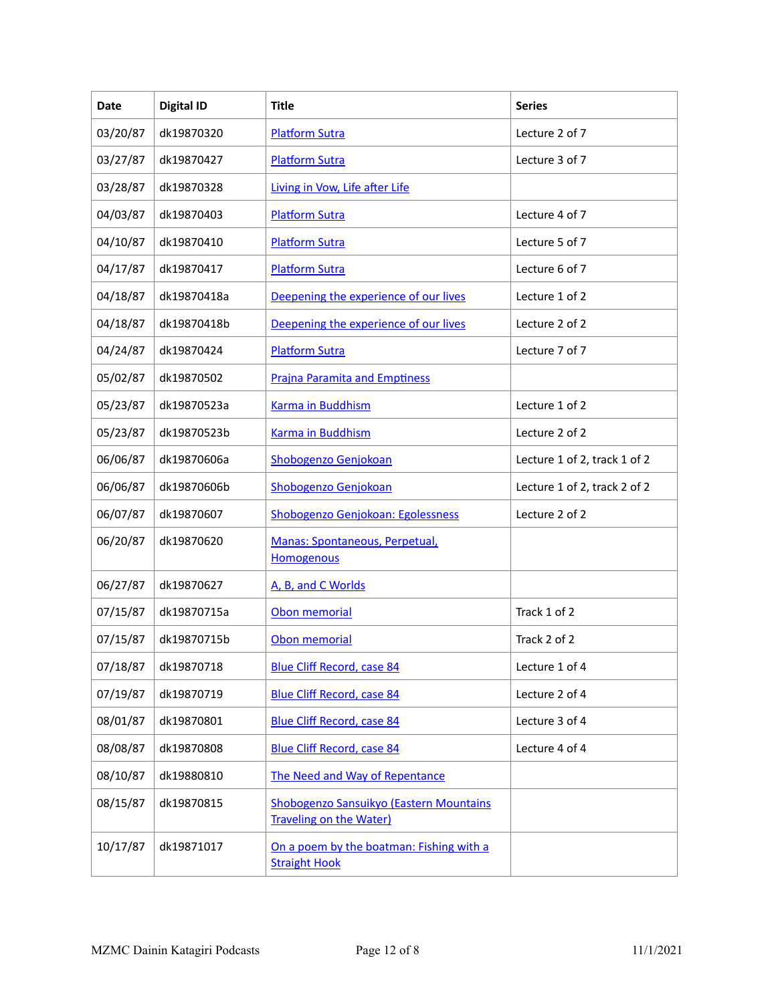| Date     | <b>Digital ID</b> | <b>Title</b>                                                              | <b>Series</b>                |
|----------|-------------------|---------------------------------------------------------------------------|------------------------------|
| 03/20/87 | dk19870320        | <b>Platform Sutra</b>                                                     | Lecture 2 of 7               |
| 03/27/87 | dk19870427        | <b>Platform Sutra</b>                                                     | Lecture 3 of 7               |
| 03/28/87 | dk19870328        | Living in Vow, Life after Life                                            |                              |
| 04/03/87 | dk19870403        | <b>Platform Sutra</b>                                                     | Lecture 4 of 7               |
| 04/10/87 | dk19870410        | <b>Platform Sutra</b>                                                     | Lecture 5 of 7               |
| 04/17/87 | dk19870417        | <b>Platform Sutra</b>                                                     | Lecture 6 of 7               |
| 04/18/87 | dk19870418a       | Deepening the experience of our lives                                     | Lecture 1 of 2               |
| 04/18/87 | dk19870418b       | Deepening the experience of our lives                                     | Lecture 2 of 2               |
| 04/24/87 | dk19870424        | <b>Platform Sutra</b>                                                     | Lecture 7 of 7               |
| 05/02/87 | dk19870502        | <b>Prajna Paramita and Emptiness</b>                                      |                              |
| 05/23/87 | dk19870523a       | <b>Karma in Buddhism</b>                                                  | Lecture 1 of 2               |
| 05/23/87 | dk19870523b       | <b>Karma in Buddhism</b>                                                  | Lecture 2 of 2               |
| 06/06/87 | dk19870606a       | <b>Shobogenzo Genjokoan</b>                                               | Lecture 1 of 2, track 1 of 2 |
| 06/06/87 | dk19870606b       | <b>Shobogenzo Genjokoan</b>                                               | Lecture 1 of 2, track 2 of 2 |
| 06/07/87 | dk19870607        | Shobogenzo Genjokoan: Egolessness                                         | Lecture 2 of 2               |
| 06/20/87 | dk19870620        | Manas: Spontaneous, Perpetual,<br><b>Homogenous</b>                       |                              |
| 06/27/87 | dk19870627        | A, B, and C Worlds                                                        |                              |
| 07/15/87 | dk19870715a       | Obon memorial                                                             | Track 1 of 2                 |
| 07/15/87 | dk19870715b       | Obon memorial                                                             | Track 2 of 2                 |
| 07/18/87 | dk19870718        | <b>Blue Cliff Record, case 84</b>                                         | Lecture 1 of 4               |
| 07/19/87 | dk19870719        | <b>Blue Cliff Record, case 84</b>                                         | Lecture 2 of 4               |
| 08/01/87 | dk19870801        | <b>Blue Cliff Record, case 84</b>                                         | Lecture 3 of 4               |
| 08/08/87 | dk19870808        | <b>Blue Cliff Record, case 84</b>                                         | Lecture 4 of 4               |
| 08/10/87 | dk19880810        | The Need and Way of Repentance                                            |                              |
| 08/15/87 | dk19870815        | Shobogenzo Sansuikyo (Eastern Mountains<br><b>Traveling on the Water)</b> |                              |
| 10/17/87 | dk19871017        | On a poem by the boatman: Fishing with a<br><b>Straight Hook</b>          |                              |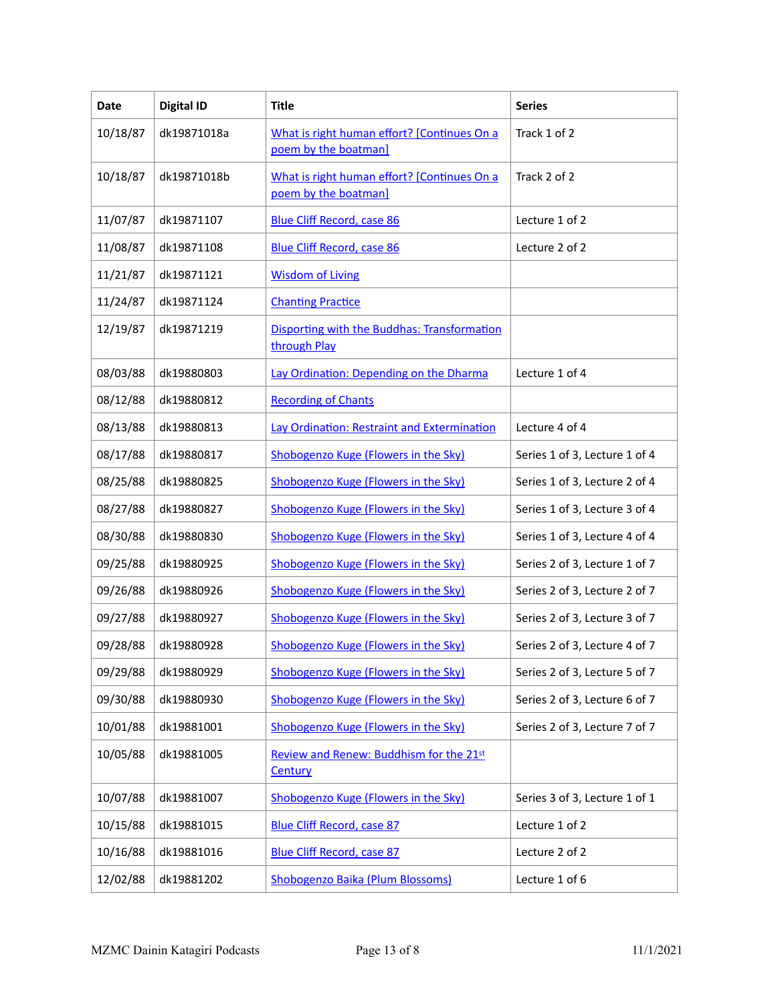| <b>Date</b> | <b>Digital ID</b> | <b>Title</b>                                                        | <b>Series</b>                 |
|-------------|-------------------|---------------------------------------------------------------------|-------------------------------|
| 10/18/87    | dk19871018a       | What is right human effort? [Continues On a<br>poem by the boatman] | Track 1 of 2                  |
| 10/18/87    | dk19871018b       | What is right human effort? [Continues On a<br>poem by the boatman] | Track 2 of 2                  |
| 11/07/87    | dk19871107        | <b>Blue Cliff Record, case 86</b>                                   | Lecture 1 of 2                |
| 11/08/87    | dk19871108        | <b>Blue Cliff Record, case 86</b>                                   | Lecture 2 of 2                |
| 11/21/87    | dk19871121        | <b>Wisdom of Living</b>                                             |                               |
| 11/24/87    | dk19871124        | <b>Chanting Practice</b>                                            |                               |
| 12/19/87    | dk19871219        | Disporting with the Buddhas: Transformation<br>through Play         |                               |
| 08/03/88    | dk19880803        | Lay Ordination: Depending on the Dharma                             | Lecture 1 of 4                |
| 08/12/88    | dk19880812        | <b>Recording of Chants</b>                                          |                               |
| 08/13/88    | dk19880813        | Lay Ordination: Restraint and Extermination                         | Lecture 4 of 4                |
| 08/17/88    | dk19880817        | Shobogenzo Kuge (Flowers in the Sky)                                | Series 1 of 3, Lecture 1 of 4 |
| 08/25/88    | dk19880825        | Shobogenzo Kuge (Flowers in the Sky)                                | Series 1 of 3, Lecture 2 of 4 |
| 08/27/88    | dk19880827        | Shobogenzo Kuge (Flowers in the Sky)                                | Series 1 of 3, Lecture 3 of 4 |
| 08/30/88    | dk19880830        | Shobogenzo Kuge (Flowers in the Sky)                                | Series 1 of 3, Lecture 4 of 4 |
| 09/25/88    | dk19880925        | Shobogenzo Kuge (Flowers in the Sky)                                | Series 2 of 3, Lecture 1 of 7 |
| 09/26/88    | dk19880926        | Shobogenzo Kuge (Flowers in the Sky)                                | Series 2 of 3, Lecture 2 of 7 |
| 09/27/88    | dk19880927        | Shobogenzo Kuge (Flowers in the Sky)                                | Series 2 of 3, Lecture 3 of 7 |
| 09/28/88    | dk19880928        | Shobogenzo Kuge (Flowers in the Sky)                                | Series 2 of 3, Lecture 4 of 7 |
| 09/29/88    | dk19880929        | Shobogenzo Kuge (Flowers in the Sky)                                | Series 2 of 3, Lecture 5 of 7 |
| 09/30/88    | dk19880930        | Shobogenzo Kuge (Flowers in the Sky)                                | Series 2 of 3, Lecture 6 of 7 |
| 10/01/88    | dk19881001        | Shobogenzo Kuge (Flowers in the Sky)                                | Series 2 of 3, Lecture 7 of 7 |
| 10/05/88    | dk19881005        | Review and Renew: Buddhism for the 21st<br>Century                  |                               |
| 10/07/88    | dk19881007        | Shobogenzo Kuge (Flowers in the Sky)                                | Series 3 of 3, Lecture 1 of 1 |
| 10/15/88    | dk19881015        | <b>Blue Cliff Record, case 87</b>                                   | Lecture 1 of 2                |
| 10/16/88    | dk19881016        | <b>Blue Cliff Record, case 87</b>                                   | Lecture 2 of 2                |
| 12/02/88    | dk19881202        | Shobogenzo Baika (Plum Blossoms)                                    | Lecture 1 of 6                |